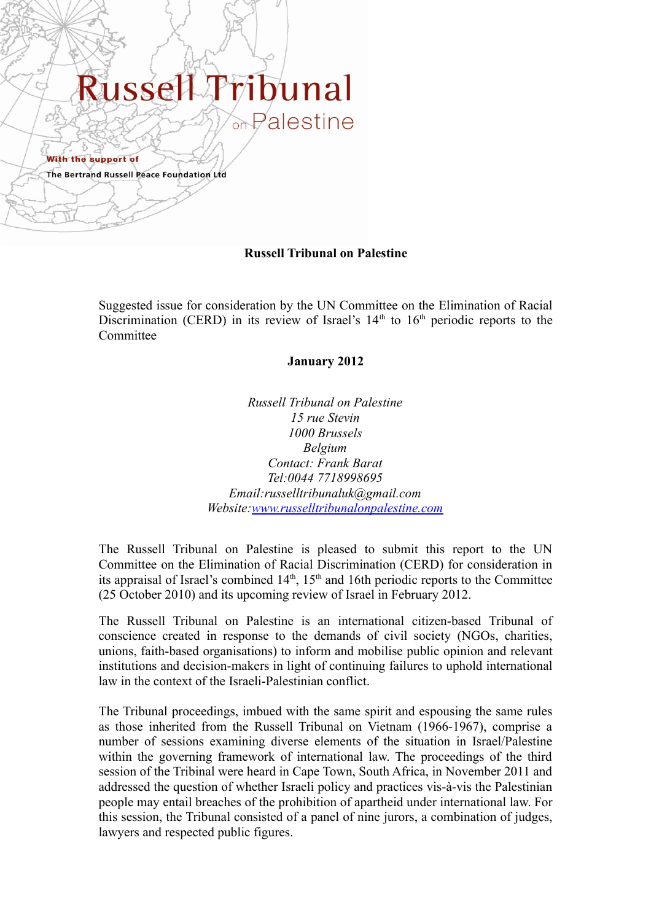# Russe bunal

With the support of

The Bertrand Russell Peace Foundation Ltd

### **Russell Tribunal on Palestine**

Suggested issue for consideration by the UN Committee on the Elimination of Racial Discrimination (CERD) in its review of Israel's  $14<sup>th</sup>$  to  $16<sup>th</sup>$  periodic reports to the **Committee** 

#### **January 2012**

*Russell Tribunal on Palestine 15 rue Stevin 1000 Brussels Belgium Contact: Frank Barat Tel:0044 7718998695 Email:russelltribunaluk@gmail.com Website[:www.russelltribunalonpalestine.com](http://www.russelltribunalonpalestine.com/)*

The Russell Tribunal on Palestine is pleased to submit this report to the UN Committee on the Elimination of Racial Discrimination (CERD) for consideration in its appraisal of Israel's combined  $14<sup>th</sup>$ ,  $15<sup>th</sup>$  and 16th periodic reports to the Committee (25 October 2010) and its upcoming review of Israel in February 2012.

The Russell Tribunal on Palestine is an international citizen-based Tribunal of conscience created in response to the demands of civil society (NGOs, charities, unions, faith-based organisations) to inform and mobilise public opinion and relevant institutions and decision-makers in light of continuing failures to uphold international law in the context of the Israeli-Palestinian conflict.

The Tribunal proceedings, imbued with the same spirit and espousing the same rules as those inherited from the Russell Tribunal on Vietnam (1966-1967), comprise a number of sessions examining diverse elements of the situation in Israel/Palestine within the governing framework of international law. The proceedings of the third session of the Tribinal were heard in Cape Town, South Africa, in November 2011 and addressed the question of whether Israeli policy and practices vis-à-vis the Palestinian people may entail breaches of the prohibition of apartheid under international law. For this session, the Tribunal consisted of a panel of nine jurors, a combination of judges, lawyers and respected public figures.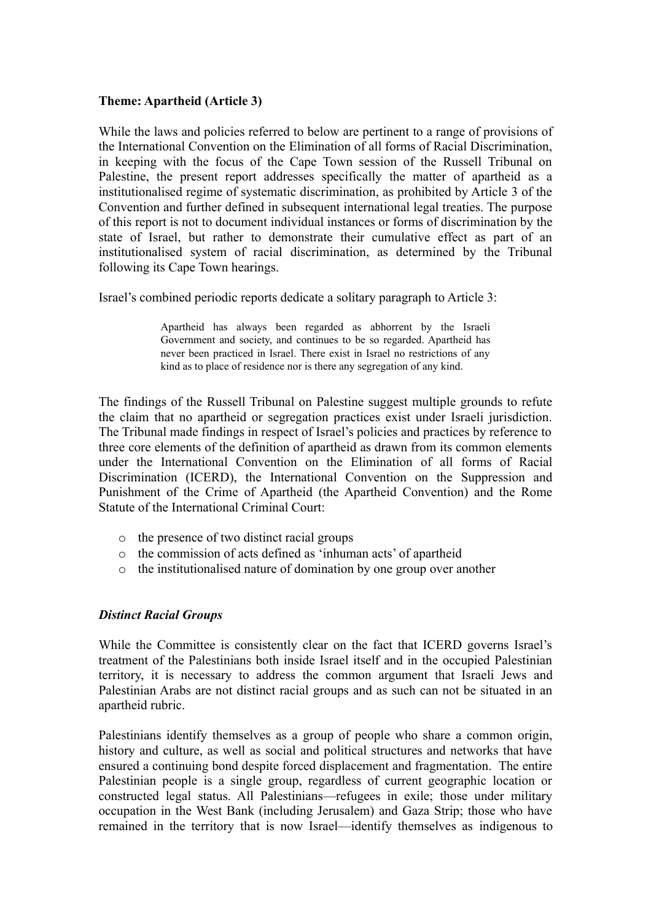#### **Theme: Apartheid (Article 3)**

While the laws and policies referred to below are pertinent to a range of provisions of the International Convention on the Elimination of all forms of Racial Discrimination, in keeping with the focus of the Cape Town session of the Russell Tribunal on Palestine, the present report addresses specifically the matter of apartheid as a institutionalised regime of systematic discrimination, as prohibited by Article 3 of the Convention and further defined in subsequent international legal treaties. The purpose of this report is not to document individual instances or forms of discrimination by the state of Israel, but rather to demonstrate their cumulative effect as part of an institutionalised system of racial discrimination, as determined by the Tribunal following its Cape Town hearings.

Israel's combined periodic reports dedicate a solitary paragraph to Article 3:

Apartheid has always been regarded as abhorrent by the Israeli Government and society, and continues to be so regarded. Apartheid has never been practiced in Israel. There exist in Israel no restrictions of any kind as to place of residence nor is there any segregation of any kind.

The findings of the Russell Tribunal on Palestine suggest multiple grounds to refute the claim that no apartheid or segregation practices exist under Israeli jurisdiction. The Tribunal made findings in respect of Israel's policies and practices by reference to three core elements of the definition of apartheid as drawn from its common elements under the International Convention on the Elimination of all forms of Racial Discrimination (ICERD), the International Convention on the Suppression and Punishment of the Crime of Apartheid (the Apartheid Convention) and the Rome Statute of the International Criminal Court:

- o the presence of two distinct racial groups
- o the commission of acts defined as 'inhuman acts' of apartheid
- o the institutionalised nature of domination by one group over another

## *Distinct Racial Groups*

While the Committee is consistently clear on the fact that ICERD governs Israel's treatment of the Palestinians both inside Israel itself and in the occupied Palestinian territory, it is necessary to address the common argument that Israeli Jews and Palestinian Arabs are not distinct racial groups and as such can not be situated in an apartheid rubric.

Palestinians identify themselves as a group of people who share a common origin, history and culture, as well as social and political structures and networks that have ensured a continuing bond despite forced displacement and fragmentation. The entire Palestinian people is a single group, regardless of current geographic location or constructed legal status. All Palestinians—refugees in exile; those under military occupation in the West Bank (including Jerusalem) and Gaza Strip; those who have remained in the territory that is now Israel—identify themselves as indigenous to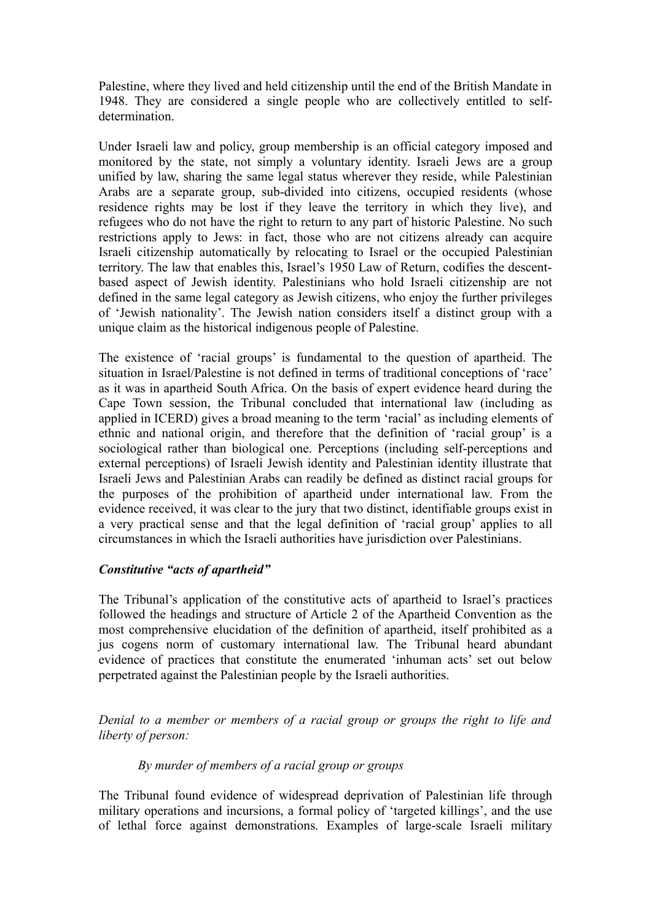Palestine, where they lived and held citizenship until the end of the British Mandate in 1948. They are considered a single people who are collectively entitled to selfdetermination.

Under Israeli law and policy, group membership is an official category imposed and monitored by the state, not simply a voluntary identity. Israeli Jews are a group unified by law, sharing the same legal status wherever they reside, while Palestinian Arabs are a separate group, sub-divided into citizens, occupied residents (whose residence rights may be lost if they leave the territory in which they live), and refugees who do not have the right to return to any part of historic Palestine. No such restrictions apply to Jews: in fact, those who are not citizens already can acquire Israeli citizenship automatically by relocating to Israel or the occupied Palestinian territory. The law that enables this, Israel's 1950 Law of Return, codifies the descentbased aspect of Jewish identity. Palestinians who hold Israeli citizenship are not defined in the same legal category as Jewish citizens, who enjoy the further privileges of 'Jewish nationality'. The Jewish nation considers itself a distinct group with a unique claim as the historical indigenous people of Palestine.

The existence of 'racial groups' is fundamental to the question of apartheid. The situation in Israel/Palestine is not defined in terms of traditional conceptions of 'race' as it was in apartheid South Africa. On the basis of expert evidence heard during the Cape Town session, the Tribunal concluded that international law (including as applied in ICERD) gives a broad meaning to the term 'racial' as including elements of ethnic and national origin, and therefore that the definition of 'racial group' is a sociological rather than biological one. Perceptions (including self-perceptions and external perceptions) of Israeli Jewish identity and Palestinian identity illustrate that Israeli Jews and Palestinian Arabs can readily be defined as distinct racial groups for the purposes of the prohibition of apartheid under international law. From the evidence received, it was clear to the jury that two distinct, identifiable groups exist in a very practical sense and that the legal definition of 'racial group' applies to all circumstances in which the Israeli authorities have jurisdiction over Palestinians.

## *Constitutive "acts of apartheid"*

The Tribunal's application of the constitutive acts of apartheid to Israel's practices followed the headings and structure of Article 2 of the Apartheid Convention as the most comprehensive elucidation of the definition of apartheid, itself prohibited as a jus cogens norm of customary international law. The Tribunal heard abundant evidence of practices that constitute the enumerated 'inhuman acts' set out below perpetrated against the Palestinian people by the Israeli authorities.

*Denial to a member or members of a racial group or groups the right to life and liberty of person:*

#### *By murder of members of a racial group or groups*

The Tribunal found evidence of widespread deprivation of Palestinian life through military operations and incursions, a formal policy of 'targeted killings', and the use of lethal force against demonstrations. Examples of large-scale Israeli military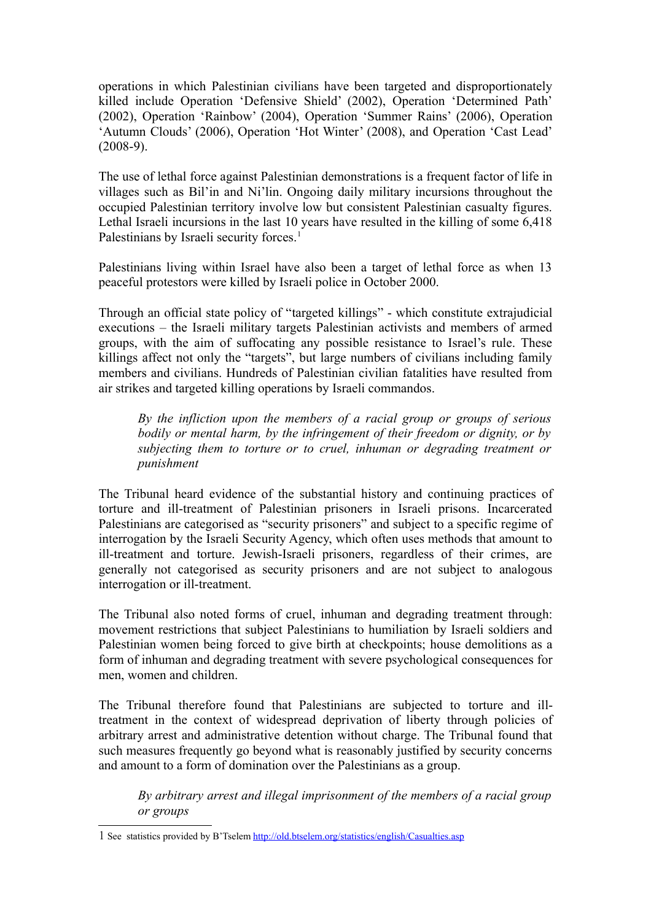operations in which Palestinian civilians have been targeted and disproportionately killed include Operation 'Defensive Shield' (2002), Operation 'Determined Path' (2002), Operation 'Rainbow' (2004), Operation 'Summer Rains' (2006), Operation 'Autumn Clouds' (2006), Operation 'Hot Winter' (2008), and Operation 'Cast Lead' (2008-9).

The use of lethal force against Palestinian demonstrations is a frequent factor of life in villages such as Bil'in and Ni'lin. Ongoing daily military incursions throughout the occupied Palestinian territory involve low but consistent Palestinian casualty figures. Lethal Israeli incursions in the last 10 years have resulted in the killing of some 6,418 Palestinians by Israeli security forces.<sup>[1](#page-3-0)</sup>

Palestinians living within Israel have also been a target of lethal force as when 13 peaceful protestors were killed by Israeli police in October 2000.

Through an official state policy of "targeted killings" - which constitute extrajudicial executions – the Israeli military targets Palestinian activists and members of armed groups, with the aim of suffocating any possible resistance to Israel's rule. These killings affect not only the "targets", but large numbers of civilians including family members and civilians. Hundreds of Palestinian civilian fatalities have resulted from air strikes and targeted killing operations by Israeli commandos.

*By the infliction upon the members of a racial group or groups of serious bodily or mental harm, by the infringement of their freedom or dignity, or by subjecting them to torture or to cruel, inhuman or degrading treatment or punishment*

The Tribunal heard evidence of the substantial history and continuing practices of torture and ill-treatment of Palestinian prisoners in Israeli prisons. Incarcerated Palestinians are categorised as "security prisoners" and subject to a specific regime of interrogation by the Israeli Security Agency, which often uses methods that amount to ill-treatment and torture. Jewish-Israeli prisoners, regardless of their crimes, are generally not categorised as security prisoners and are not subject to analogous interrogation or ill-treatment.

The Tribunal also noted forms of cruel, inhuman and degrading treatment through: movement restrictions that subject Palestinians to humiliation by Israeli soldiers and Palestinian women being forced to give birth at checkpoints; house demolitions as a form of inhuman and degrading treatment with severe psychological consequences for men, women and children.

The Tribunal therefore found that Palestinians are subjected to torture and illtreatment in the context of widespread deprivation of liberty through policies of arbitrary arrest and administrative detention without charge. The Tribunal found that such measures frequently go beyond what is reasonably justified by security concerns and amount to a form of domination over the Palestinians as a group.

*By arbitrary arrest and illegal imprisonment of the members of a racial group or groups*

<span id="page-3-0"></span><sup>1</sup> See statistics provided by B'Tselem<http://old.btselem.org/statistics/english/Casualties.asp>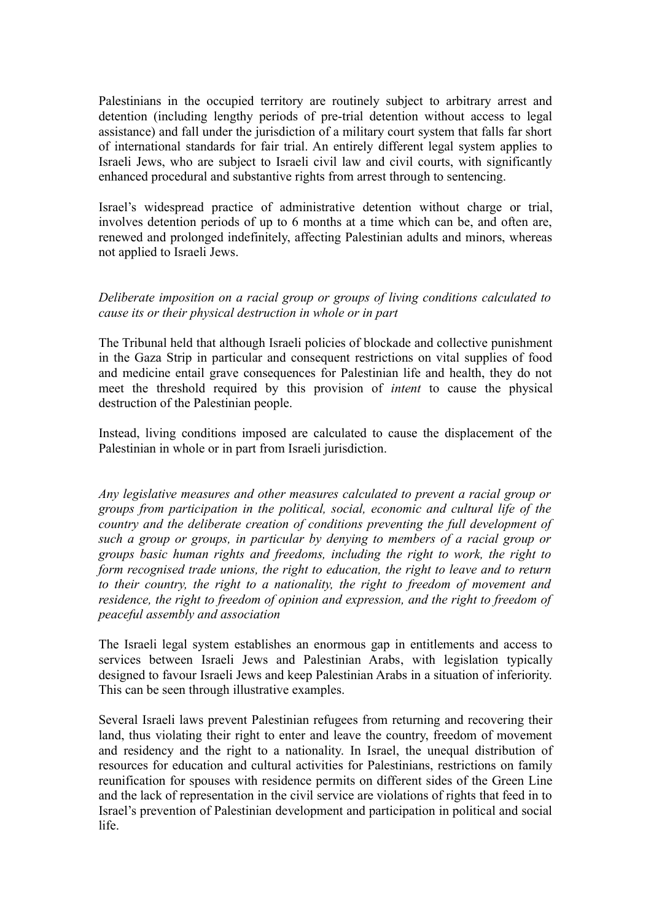Palestinians in the occupied territory are routinely subject to arbitrary arrest and detention (including lengthy periods of pre-trial detention without access to legal assistance) and fall under the jurisdiction of a military court system that falls far short of international standards for fair trial. An entirely different legal system applies to Israeli Jews, who are subject to Israeli civil law and civil courts, with significantly enhanced procedural and substantive rights from arrest through to sentencing.

Israel's widespread practice of administrative detention without charge or trial, involves detention periods of up to 6 months at a time which can be, and often are, renewed and prolonged indefinitely, affecting Palestinian adults and minors, whereas not applied to Israeli Jews.

#### *Deliberate imposition on a racial group or groups of living conditions calculated to cause its or their physical destruction in whole or in part*

The Tribunal held that although Israeli policies of blockade and collective punishment in the Gaza Strip in particular and consequent restrictions on vital supplies of food and medicine entail grave consequences for Palestinian life and health, they do not meet the threshold required by this provision of *intent* to cause the physical destruction of the Palestinian people.

Instead, living conditions imposed are calculated to cause the displacement of the Palestinian in whole or in part from Israeli jurisdiction.

*Any legislative measures and other measures calculated to prevent a racial group or groups from participation in the political, social, economic and cultural life of the country and the deliberate creation of conditions preventing the full development of such a group or groups, in particular by denying to members of a racial group or groups basic human rights and freedoms, including the right to work, the right to form recognised trade unions, the right to education, the right to leave and to return to their country, the right to a nationality, the right to freedom of movement and residence, the right to freedom of opinion and expression, and the right to freedom of peaceful assembly and association*

The Israeli legal system establishes an enormous gap in entitlements and access to services between Israeli Jews and Palestinian Arabs, with legislation typically designed to favour Israeli Jews and keep Palestinian Arabs in a situation of inferiority. This can be seen through illustrative examples.

Several Israeli laws prevent Palestinian refugees from returning and recovering their land, thus violating their right to enter and leave the country, freedom of movement and residency and the right to a nationality. In Israel, the unequal distribution of resources for education and cultural activities for Palestinians, restrictions on family reunification for spouses with residence permits on different sides of the Green Line and the lack of representation in the civil service are violations of rights that feed in to Israel's prevention of Palestinian development and participation in political and social life.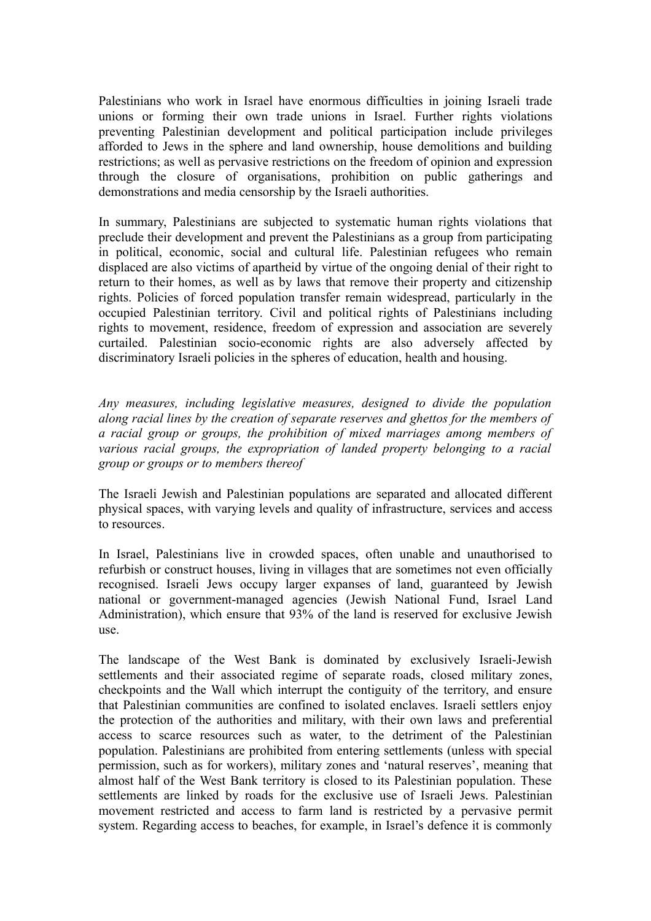Palestinians who work in Israel have enormous difficulties in joining Israeli trade unions or forming their own trade unions in Israel. Further rights violations preventing Palestinian development and political participation include privileges afforded to Jews in the sphere and land ownership, house demolitions and building restrictions; as well as pervasive restrictions on the freedom of opinion and expression through the closure of organisations, prohibition on public gatherings and demonstrations and media censorship by the Israeli authorities.

In summary, Palestinians are subjected to systematic human rights violations that preclude their development and prevent the Palestinians as a group from participating in political, economic, social and cultural life. Palestinian refugees who remain displaced are also victims of apartheid by virtue of the ongoing denial of their right to return to their homes, as well as by laws that remove their property and citizenship rights. Policies of forced population transfer remain widespread, particularly in the occupied Palestinian territory. Civil and political rights of Palestinians including rights to movement, residence, freedom of expression and association are severely curtailed. Palestinian socio-economic rights are also adversely affected by discriminatory Israeli policies in the spheres of education, health and housing.

*Any measures, including legislative measures, designed to divide the population along racial lines by the creation of separate reserves and ghettos for the members of a racial group or groups, the prohibition of mixed marriages among members of various racial groups, the expropriation of landed property belonging to a racial group or groups or to members thereof*

The Israeli Jewish and Palestinian populations are separated and allocated different physical spaces, with varying levels and quality of infrastructure, services and access to resources.

In Israel, Palestinians live in crowded spaces, often unable and unauthorised to refurbish or construct houses, living in villages that are sometimes not even officially recognised. Israeli Jews occupy larger expanses of land, guaranteed by Jewish national or government-managed agencies (Jewish National Fund, Israel Land Administration), which ensure that 93% of the land is reserved for exclusive Jewish use.

The landscape of the West Bank is dominated by exclusively Israeli-Jewish settlements and their associated regime of separate roads, closed military zones, checkpoints and the Wall which interrupt the contiguity of the territory, and ensure that Palestinian communities are confined to isolated enclaves. Israeli settlers enjoy the protection of the authorities and military, with their own laws and preferential access to scarce resources such as water, to the detriment of the Palestinian population. Palestinians are prohibited from entering settlements (unless with special permission, such as for workers), military zones and 'natural reserves', meaning that almost half of the West Bank territory is closed to its Palestinian population. These settlements are linked by roads for the exclusive use of Israeli Jews. Palestinian movement restricted and access to farm land is restricted by a pervasive permit system. Regarding access to beaches, for example, in Israel's defence it is commonly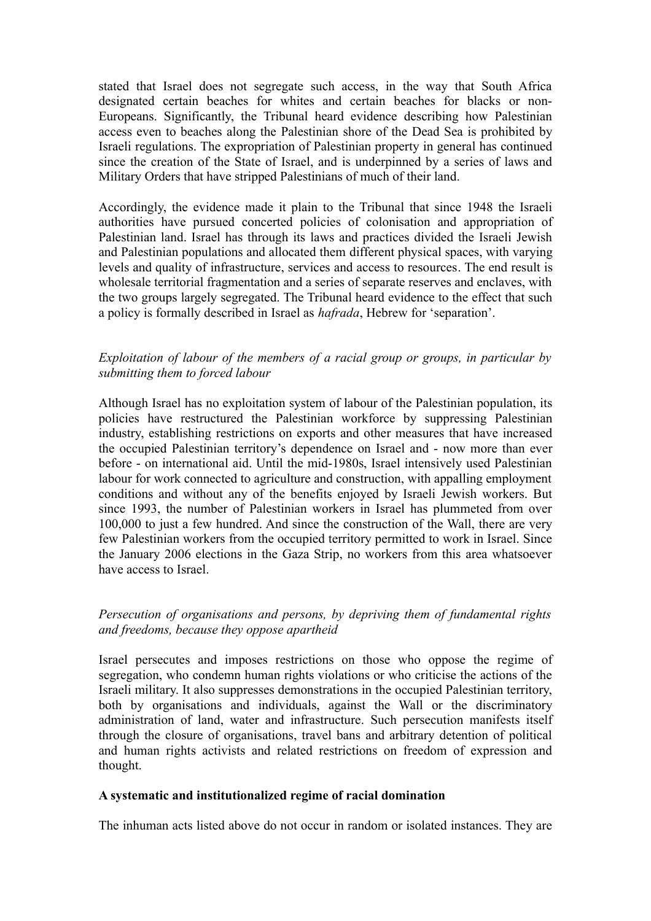stated that Israel does not segregate such access, in the way that South Africa designated certain beaches for whites and certain beaches for blacks or non-Europeans. Significantly, the Tribunal heard evidence describing how Palestinian access even to beaches along the Palestinian shore of the Dead Sea is prohibited by Israeli regulations. The expropriation of Palestinian property in general has continued since the creation of the State of Israel, and is underpinned by a series of laws and Military Orders that have stripped Palestinians of much of their land.

Accordingly, the evidence made it plain to the Tribunal that since 1948 the Israeli authorities have pursued concerted policies of colonisation and appropriation of Palestinian land. Israel has through its laws and practices divided the Israeli Jewish and Palestinian populations and allocated them different physical spaces, with varying levels and quality of infrastructure, services and access to resources. The end result is wholesale territorial fragmentation and a series of separate reserves and enclaves, with the two groups largely segregated. The Tribunal heard evidence to the effect that such a policy is formally described in Israel as *hafrada*, Hebrew for 'separation'.

## *Exploitation of labour of the members of a racial group or groups, in particular by submitting them to forced labour*

Although Israel has no exploitation system of labour of the Palestinian population, its policies have restructured the Palestinian workforce by suppressing Palestinian industry, establishing restrictions on exports and other measures that have increased the occupied Palestinian territory's dependence on Israel and - now more than ever before - on international aid. Until the mid-1980s, Israel intensively used Palestinian labour for work connected to agriculture and construction, with appalling employment conditions and without any of the benefits enjoyed by Israeli Jewish workers. But since 1993, the number of Palestinian workers in Israel has plummeted from over 100,000 to just a few hundred. And since the construction of the Wall, there are very few Palestinian workers from the occupied territory permitted to work in Israel. Since the January 2006 elections in the Gaza Strip, no workers from this area whatsoever have access to Israel.

## *Persecution of organisations and persons, by depriving them of fundamental rights and freedoms, because they oppose apartheid*

Israel persecutes and imposes restrictions on those who oppose the regime of segregation, who condemn human rights violations or who criticise the actions of the Israeli military. It also suppresses demonstrations in the occupied Palestinian territory, both by organisations and individuals, against the Wall or the discriminatory administration of land, water and infrastructure. Such persecution manifests itself through the closure of organisations, travel bans and arbitrary detention of political and human rights activists and related restrictions on freedom of expression and thought.

#### **A systematic and institutionalized regime of racial domination**

The inhuman acts listed above do not occur in random or isolated instances. They are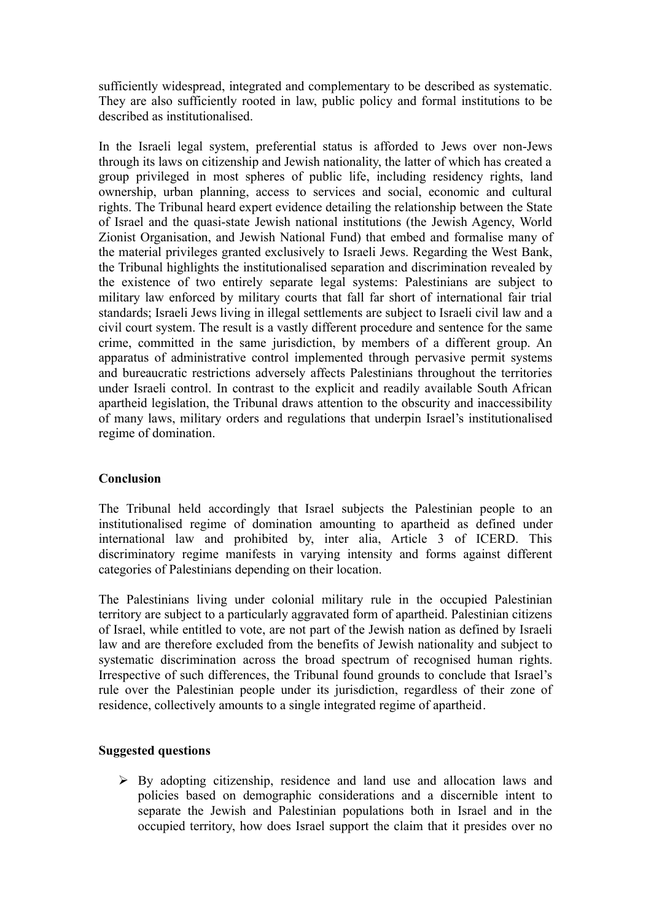sufficiently widespread, integrated and complementary to be described as systematic. They are also sufficiently rooted in law, public policy and formal institutions to be described as institutionalised.

In the Israeli legal system, preferential status is afforded to Jews over non-Jews through its laws on citizenship and Jewish nationality, the latter of which has created a group privileged in most spheres of public life, including residency rights, land ownership, urban planning, access to services and social, economic and cultural rights. The Tribunal heard expert evidence detailing the relationship between the State of Israel and the quasi-state Jewish national institutions (the Jewish Agency, World Zionist Organisation, and Jewish National Fund) that embed and formalise many of the material privileges granted exclusively to Israeli Jews. Regarding the West Bank, the Tribunal highlights the institutionalised separation and discrimination revealed by the existence of two entirely separate legal systems: Palestinians are subject to military law enforced by military courts that fall far short of international fair trial standards; Israeli Jews living in illegal settlements are subject to Israeli civil law and a civil court system. The result is a vastly different procedure and sentence for the same crime, committed in the same jurisdiction, by members of a different group. An apparatus of administrative control implemented through pervasive permit systems and bureaucratic restrictions adversely affects Palestinians throughout the territories under Israeli control. In contrast to the explicit and readily available South African apartheid legislation, the Tribunal draws attention to the obscurity and inaccessibility of many laws, military orders and regulations that underpin Israel's institutionalised regime of domination.

## **Conclusion**

The Tribunal held accordingly that Israel subjects the Palestinian people to an institutionalised regime of domination amounting to apartheid as defined under international law and prohibited by, inter alia, Article 3 of ICERD. This discriminatory regime manifests in varying intensity and forms against different categories of Palestinians depending on their location.

The Palestinians living under colonial military rule in the occupied Palestinian territory are subject to a particularly aggravated form of apartheid. Palestinian citizens of Israel, while entitled to vote, are not part of the Jewish nation as defined by Israeli law and are therefore excluded from the benefits of Jewish nationality and subject to systematic discrimination across the broad spectrum of recognised human rights. Irrespective of such differences, the Tribunal found grounds to conclude that Israel's rule over the Palestinian people under its jurisdiction, regardless of their zone of residence, collectively amounts to a single integrated regime of apartheid.

#### **Suggested questions**

 $\triangleright$  By adopting citizenship, residence and land use and allocation laws and policies based on demographic considerations and a discernible intent to separate the Jewish and Palestinian populations both in Israel and in the occupied territory, how does Israel support the claim that it presides over no